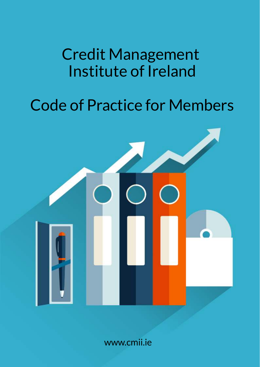# Credit Management Institute of Ireland

# Code of Practice for Members



www.cmii.ie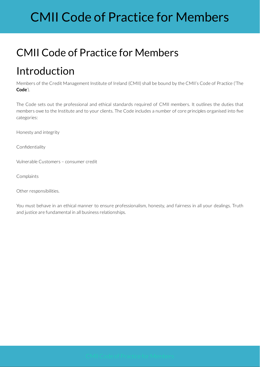# CMII Code of Practice for Members

### CMII Code of Practice for Members

### Introduction

Members of the Credit Management Institute of Ireland (CMII) shall be bound by the CMII's Code of Practice ('The **Code**').

The Code sets out the professional and ethical standards required of CMII members. It outlines the duties that members owe to the Institute and to your clients. The Code includes a number of core principles organised into five categories:

Honesty and integrity

Confidentiality

Vulnerable Customers – consumer credit

Complaints

Other responsibilities.

You must behave in an ethical manner to ensure professionalism, honesty, and fairness in all your dealings. Truth and justice are fundamental in all business relationships.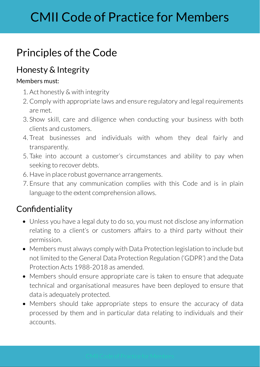## Principles of the Code

### Honesty & Integrity

#### Members must:

- 1. Act honestly & with integrity
- 2. Comply with appropriate laws and ensure regulatory and legal requirements are met.
- 3. Show skill, care and diligence when conducting your business with both clients and customers.
- 4. Treat businesses and individuals with whom they deal fairly and transparently.
- 5. Take into account a customer's circumstances and ability to pay when seeking to recover debts.
- 6. Have in place robust governance arrangements.
- 7. Ensure that any communication complies with this Code and is in plain language to the extent comprehension allows.

### Confidentiality

- Unless you have a legal duty to do so, you must not disclose any information relating to a client's or customers affairs to a third party without their permission.
- Members must always comply with Data Protection legislation to include but not limited to the General Data Protection Regulation ('GDPR') and the Data Protection Acts 1988-2018 as amended.
- Members should ensure appropriate care is taken to ensure that adequate technical and organisational measures have been deployed to ensure that data is adequately protected.
- Members should take appropriate steps to ensure the accuracy of data processed by them and in particular data relating to individuals and their accounts.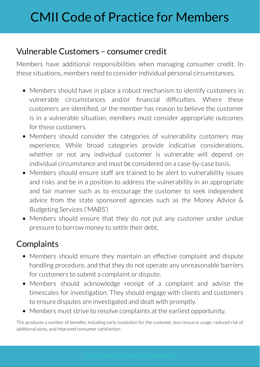#### Vulnerable Customers – consumer credit

Members have additional responsibilities when managing consumer credit. In these situations, members need to consider individual personal circumstances.

- Members should have in place a robust mechanism to identify customers in vulnerable circumstances and/or financial difficulties. Where these customers are identified, or the member has reason to believe the customer is in a vulnerable situation, members must consider appropriate outcomes for those customers.
- Members should consider the categories of vulnerability customers may experience. While broad categories provide indicative considerations, whether or not any individual customer is vulnerable will depend on individual circumstance and must be considered on a case-by-case basis.
- Members should ensure staff are trained to be alert to vulnerability issues  $\bullet$ and risks and be in a position to address the vulnerability in an appropriate and fair manner such as to encourage the customer to seek independent advice from the state sponsored agencies such as the Money Advice & Budgeting Services ('MABS')
- Members should ensure that they do not put any customer under undue pressure to borrow money to settle their debt.

#### **Complaints**

- Members should ensure they maintain an effective complaint and dispute handling procedure, and that they do not operate any unreasonable barriers for customers to submit a complaint or dispute.
- Members should acknowledge receipt of a complaint and advise the timescales for investigation. They should engage with clients and customers to ensure disputes are investigated and dealt with promptly.
- Members must strive to resolve complaints at the earliest opportunity.

This produces a number of benefits, including early resolution for the customer, less resource usage, reduced risk of additional costs, and improved consumer satisfaction.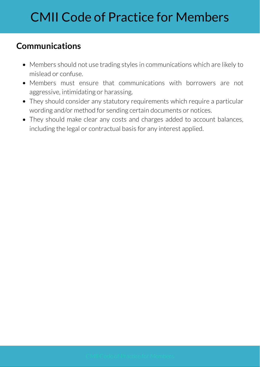### **Communications**

- Members should not use trading styles in communications which are likely to mislead or confuse.
- Members must ensure that communications with borrowers are not aggressive, intimidating or harassing.
- They should consider any statutory requirements which require a particular wording and/or method for sending certain documents or notices.
- They should make clear any costs and charges added to account balances, including the legal or contractual basis for any interest applied.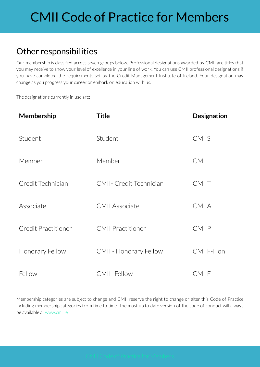## CMII Code of Practice for Members

#### Other responsibilities

Our membership is classified across seven groups below. Professional designations awarded by CMII are titles that you may receive to show your level of excellence in your line of work. You can use CMII professional designations if you have completed the requirements set by the Credit Management Institute of Ireland. Your designation may change as you progress your career or embark on education with us.

The designations currently in use are:

| Membership          | <b>Title</b>                   | <b>Designation</b> |
|---------------------|--------------------------------|--------------------|
| Student             | Student                        | <b>CMIIS</b>       |
| Member              | Member                         | CMII               |
| Credit Technician   | <b>CMII- Credit Technician</b> | CMIIT              |
| Associate           | <b>CMII Associate</b>          | CMIIA              |
| Credit Practitioner | <b>CMII Practitioner</b>       | CMIIP              |
| Honorary Fellow     | <b>CMII - Honorary Fellow</b>  | CMIIF-Hon          |
| Fellow              | CMII-Fellow                    | CMIIF              |

Membership categories are subject to change and CMII reserve the right to change or alter this Code of Practice including membership categories from time to time. The most up to date version of the code of conduct will always beavailable at www.cmii.ie.